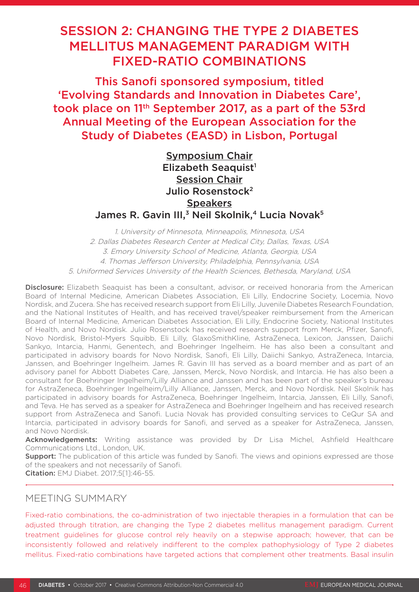# SESSION 2: CHANGING THE TYPE 2 DIABETES MELLITUS MANAGEMENT PARADIGM WITH FIXED-RATIO COMBINATIONS

This Sanofi sponsored symposium, titled 'Evolving Standards and Innovation in Diabetes Care', took place on 11th September 2017, as a part of the 53rd Annual Meeting of the European Association for the Study of Diabetes (EASD) in Lisbon, Portugal

> Symposium Chair Elizabeth Seaquist<sup>1</sup> Session Chair Julio Rosenstock2 **Speakers**

James R. Gavin III.<sup>3</sup> Neil Skolnik,<sup>4</sup> Lucia Novak<sup>5</sup>

1. University of Minnesota, Minneapolis, Minnesota, USA 2. Dallas Diabetes Research Center at Medical City, Dallas, Texas, USA 3. Emory University School of Medicine, Atlanta, Georgia, USA 4. Thomas Jefferson University, Philadelphia, Pennsylvania, USA 5. Uniformed Services University of the Health Sciences, Bethesda, Maryland, USA

Disclosure: Elizabeth Seaquist has been a consultant, advisor, or received honoraria from the American Board of Internal Medicine, American Diabetes Association, Eli Lilly, Endocrine Society, Locemia, Novo Nordisk, and Zucera. She has received research support from Eli Lilly, Juvenile Diabetes Research Foundation, and the National Institutes of Health, and has received travel/speaker reimbursement from the American Board of Internal Medicine, American Diabetes Association, Eli Lilly, Endocrine Society, National Institutes of Health, and Novo Nordisk. Julio Rosenstock has received research support from Merck, Pfizer, Sanofi, Novo Nordisk, Bristol-Myers Squibb, Eli Lilly, GlaxoSmithKline, AstraZeneca, Lexicon, Janssen, Daiichi Sankyo, Intarcia, Hanmi, Genentech, and Boehringer Ingelheim. He has also been a consultant and participated in advisory boards for Novo Nordisk, Sanofi, Eli Lilly, Daiichi Sankyo, AstraZeneca, Intarcia, Janssen, and Boehringer Ingelheim. James R. Gavin III has served as a board member and as part of an advisory panel for Abbott Diabetes Care, Janssen, Merck, Novo Nordisk, and Intarcia. He has also been a consultant for Boehringer Ingelheim/Lilly Alliance and Janssen and has been part of the speaker's bureau for AstraZeneca, Boehringer Ingelheim/Lilly Alliance, Janssen, Merck, and Novo Nordisk. Neil Skolnik has participated in advisory boards for AstraZeneca, Boehringer Ingelheim, Intarcia, Janssen, Eli Lilly, Sanofi, and Teva. He has served as a speaker for AstraZeneca and Boehringer Ingelheim and has received research support from AstraZeneca and Sanofi. Lucia Novak has provided consulting services to CeQur SA and Intarcia, participated in advisory boards for Sanofi, and served as a speaker for AstraZeneca, Janssen, and Novo Nordisk.

Acknowledgements: Writing assistance was provided by Dr Lisa Michel, Ashfield Healthcare Communications Ltd., London, UK.

**Support:** The publication of this article was funded by Sanofi. The views and opinions expressed are those of the speakers and not necessarily of Sanofi.

Citation: EMJ Diabet. 2017;5[1]:46-55.

# MEETING SUMMARY

Fixed-ratio combinations, the co-administration of two injectable therapies in a formulation that can be adjusted through titration, are changing the Type 2 diabetes mellitus management paradigm. Current treatment guidelines for glucose control rely heavily on a stepwise approach; however, that can be inconsistently followed and relatively indifferent to the complex pathophysiology of Type 2 diabetes mellitus. Fixed-ratio combinations have targeted actions that complement other treatments. Basal insulin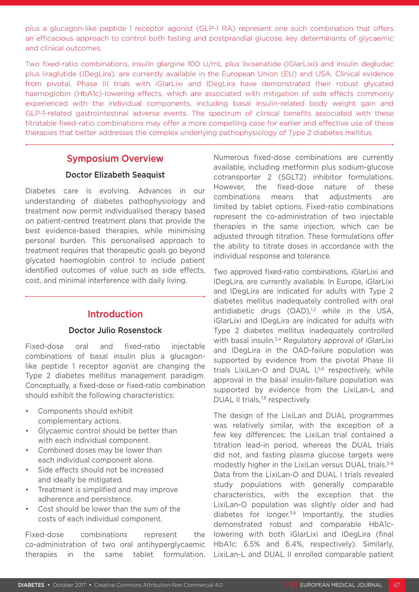plus a glucagon-like peptide 1 receptor agonist (GLP-1 RA) represent one such combination that offers an efficacious approach to control both fasting and postprandial glucose, key determinants of glycaemic and clinical outcomes.

Two fixed-ratio combinations, insulin glargine 100 U/mL plus lixisenatide (iGlarLixi) and insulin degludec plus liraglutide (IDegLira), are currently available in the European Union (EU) and USA. Clinical evidence from pivotal, Phase III trials with iGlarLixi and IDegLira have demonstrated their robust glycated haemoglobin (HbA1c)-lowering effects, which are associated with mitigation of side effects commonly experienced with the individual components, including basal insulin-related body weight gain and GLP-1-related gastrointestinal adverse events. The spectrum of clinical benefits associated with these titratable fixed-ratio combinations may offer a more compelling case for earlier and effective use of these therapies that better addresses the complex underlying pathophysiology of Type 2 diabetes mellitus.

### Symposium Overview

### Doctor Elizabeth Seaquist

Diabetes care is evolving. Advances in our understanding of diabetes pathophysiology and treatment now permit individualised therapy based on patient-centred treatment plans that provide the best evidence-based therapies, while minimising personal burden. This personalised approach to treatment requires that therapeutic goals go beyond glycated haemoglobin control to include patient identified outcomes of value such as side effects, cost, and minimal interference with daily living.

# Introduction

### Doctor Julio Rosenstock

Fixed-dose oral and fixed-ratio injectable combinations of basal insulin plus a glucagonlike peptide 1 receptor agonist are changing the Type 2 diabetes mellitus management paradigm. Conceptually, a fixed-dose or fixed-ratio combination should exhibit the following characteristics:

- Components should exhibit complementary actions.
- Glycaemic control should be better than with each individual component.
- Combined doses may be lower than each individual component alone.
- Side effects should not be increased and ideally be mitigated.
- Treatment is simplified and may improve adherence and persistence.
- Cost should be lower than the sum of the costs of each individual component.

Fixed-dose combinations represent the co-administration of two oral antihyperglycaemic therapies in the same tablet formulation.

Numerous fixed-dose combinations are currently available, including metformin plus sodium-glucose cotransporter 2 (SGLT2) inhibitor formulations. However, the fixed-dose nature of these combinations means that adjustments are limited by tablet options. Fixed-ratio combinations represent the co-administration of two injectable therapies in the same injection, which can be adjusted through titration. These formulations offer the ability to titrate doses in accordance with the individual response and tolerance.

Two approved fixed-ratio combinations, iGlarLixi and IDegLira, are currently available. In Europe, iGlarLixi and IDegLira are indicated for adults with Type 2 diabetes mellitus inadequately controlled with oral antidiabetic drugs (OAD),<sup>1,2</sup> while in the USA, iGlarLixi and IDegLira are indicated for adults with Type 2 diabetes mellitus inadequately controlled with basal insulin.<sup>3,4</sup> Regulatory approval of iGlarLixi and IDegLira in the OAD-failure population was supported by evidence from the pivotal Phase III trials LixiLan-O and DUAL I,<sup>5,6</sup> respectively, while approval in the basal insulin-failure population was supported by evidence from the LixiLan-L and DUAL II trials,<sup>7,8</sup> respectively.

The design of the LixiLan and DUAL programmes was relatively similar, with the exception of a few key differences; the LixiLan trial contained a titration lead-in period, whereas the DUAL trials did not, and fasting plasma glucose targets were modestly higher in the LixiLan versus DUAL trials.<sup>5-8</sup> Data from the LixiLan-O and DUAL I trials revealed study populations with generally comparable characteristics, with the exception that the LixiLan-O population was slightly older and had diabetes for longer.5,6 Importantly, the studies demonstrated robust and comparable HbA1clowering with both iGlarLixi and IDegLira (final HbA1c: 6.5% and 6.4%, respectively). Similarly, LixiLan-L and DUAL II enrolled comparable patient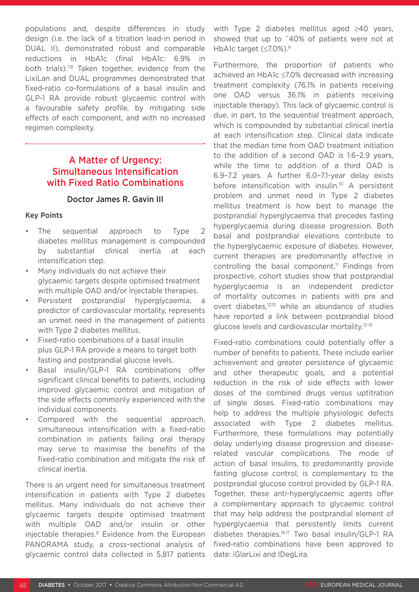populations and, despite differences in study design (i.e. the lack of a titration lead-in period in DUAL II), demonstrated robust and comparable reductions in HbA1c (final HbA1c: 6.9% in both trials).<sup>7,8</sup> Taken together, evidence from the LixiLan and DUAL programmes demonstrated that fixed-ratio co-formulations of a basal insulin and GLP-1 RA provide robust glycaemic control with a favourable safety profile, by mitigating side effects of each component, and with no increased regimen complexity.

# A Matter of Urgency: Simultaneous Intensification with Fixed Ratio Combinations

### Doctor James R. Gavin III

#### **Key Points**

- The sequential approach to Type 2 diabetes mellitus management is compounded by substantial clinical inertia at each intensification step.
- Many individuals do not achieve their glycaemic targets despite optimised treatment with multiple OAD and/or injectable therapies.
- Persistent postprandial hyperglycaemia, a predictor of cardiovascular mortality, represents an unmet need in the management of patients with Type 2 diabetes mellitus.
- Fixed-ratio combinations of a basal insulin plus GLP-1 RA provide a means to target both fasting and postprandial glucose levels.
- Basal insulin/GLP-1 RA combinations offer significant clinical benefits to patients, including improved glycaemic control and mitigation of the side effects commonly experienced with the individual components.
- Compared with the sequential approach, simultaneous intensification with a fixed-ratio combination in patients failing oral therapy may serve to maximise the benefits of the fixed-ratio combination and mitigate the risk of clinical inertia.

There is an urgent need for simultaneous treatment intensification in patients with Type 2 diabetes mellitus. Many individuals do not achieve their glycaemic targets despite optimised treatment with multiple OAD and/or insulin or other injectable therapies.<sup>9</sup> Evidence from the European PANORAMA study, a cross-sectional analysis of glycaemic control data collected in 5,817 patients

with Type 2 diabetes mellitus aged ≥40 years, showed that up to ~40% of patients were not at HbA1c target (≤7.0%).<sup>9</sup>

Furthermore, the proportion of patients who achieved an HbA1c ≤7.0% decreased with increasing treatment complexity (76.1% in patients receiving one OAD versus 36.1% in patients receiving injectable therapy). This lack of glycaemic control is due, in part, to the sequential treatment approach, which is compounded by substantial clinical inertia at each intensification step. Clinical data indicate that the median time from OAD treatment initiation to the addition of a second OAD is 1.6–2.9 years, while the time to addition of a third OAD is 6.9–7.2 years. A further 6.0–7.1-year delay exists before intensification with insulin.<sup>10</sup> A persistent problem and unmet need in Type 2 diabetes mellitus treatment is how best to manage the postprandial hyperglycaemia that precedes fasting hyperglycaemia during disease progression. Both basal and postprandial elevations contribute to the hyperglycaemic exposure of diabetes. However, current therapies are predominantly effective in controlling the basal component.<sup>11</sup> Findings from prospective, cohort studies show that postprandial hyperglycaemia is an independent predictor of mortality outcomes in patients with pre and overt diabetes,12,13 while an abundance of studies have reported a link between postprandial blood glucose levels and cardiovascular mortality.12-15

Fixed-ratio combinations could potentially offer a number of benefits to patients. These include earlier achievement and greater persistence of glycaemic and other therapeutic goals, and a potential reduction in the risk of side effects with lower doses of the combined drugs versus uptitration of single doses. Fixed-ratio combinations may help to address the multiple physiologic defects associated with Type 2 diabetes mellitus. Furthermore, these formulations may potentially delay underlying disease progression and diseaserelated vascular complications. The mode of action of basal insulins, to predominantly provide fasting glucose control, is complementary to the postprandial glucose control provided by GLP-1 RA. Together, these anti-hyperglycaemic agents offer a complementary approach to glycaemic control that may help address the postprandial element of hyperglycaemia that persistently limits current diabetes therapies.16,17 Two basal insulin/GLP-1 RA fixed-ratio combinations have been approved to date: iGlarLixi and IDegLira.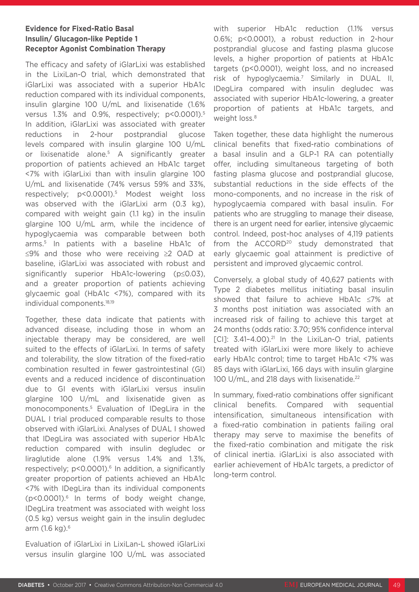### **Evidence for Fixed-Ratio Basal Insulin/ Glucagon-like Peptide 1 Receptor Agonist Combination Therapy**

The efficacy and safety of iGlarLixi was established in the LixiLan-O trial, which demonstrated that iGlarLixi was associated with a superior HbA1c reduction compared with its individual components, insulin glargine 100 U/mL and lixisenatide (1.6% versus 1.3% and 0.9%, respectively; p<0.0001).<sup>5</sup> In addition, iGlarLixi was associated with greater reductions in 2-hour postprandial glucose levels compared with insulin glargine 100 U/mL or lixisenatide alone.5 A significantly greater proportion of patients achieved an HbA1c target <7% with iGlarLixi than with insulin glargine 100 U/mL and lixisenatide (74% versus 59% and 33%, respectively; p<0.0001).5 Modest weight loss was observed with the iGlarLixi arm (0.3 kg), compared with weight gain (1.1 kg) in the insulin glargine 100 U/mL arm, while the incidence of hypoglycaemia was comparable between both arms.5 In patients with a baseline HbA1c of ≤9% and those who were receiving ≥2 OAD at baseline, iGlarLixi was associated with robust and significantly superior HbA1c-lowering (p≤0.03), and a greater proportion of patients achieving glycaemic goal (HbA1c <7%), compared with its individual components.18,19

Together, these data indicate that patients with advanced disease, including those in whom an injectable therapy may be considered, are well suited to the effects of iGlarLixi. In terms of safety and tolerability, the slow titration of the fixed-ratio combination resulted in fewer gastrointestinal (GI) events and a reduced incidence of discontinuation due to GI events with iGlarLixi versus insulin glargine 100 U/mL and lixisenatide given as monocomponents.5 Evaluation of IDegLira in the DUAL I trial produced comparable results to those observed with iGlarLixi. Analyses of DUAL I showed that IDegLira was associated with superior HbA1c reduction compared with insulin degludec or liraglutide alone (1.9% versus 1.4% and 1.3%, respectively; p<0.0001).<sup>6</sup> In addition, a significantly greater proportion of patients achieved an HbA1c <7% with IDegLira than its individual components (p<0.0001).6 In terms of body weight change, IDegLira treatment was associated with weight loss (0.5 kg) versus weight gain in the insulin degludec arm (1.6 kg).6

Evaluation of iGlarLixi in LixiLan-L showed iGlarLixi versus insulin glargine 100 U/mL was associated with superior HbA1c reduction (1.1% versus 0.6%; p<0.0001), a robust reduction in 2-hour postprandial glucose and fasting plasma glucose levels, a higher proportion of patients at HbA1c targets (p<0.0001), weight loss, and no increased risk of hypoglycaemia.7 Similarly in DUAL II, IDegLira compared with insulin degludec was associated with superior HbA1c-lowering, a greater proportion of patients at HbA1c targets, and weight loss.<sup>8</sup>

Taken together, these data highlight the numerous clinical benefits that fixed-ratio combinations of a basal insulin and a GLP-1 RA can potentially offer, including simultaneous targeting of both fasting plasma glucose and postprandial glucose, substantial reductions in the side effects of the mono-components, and no increase in the risk of hypoglycaemia compared with basal insulin. For patients who are struggling to manage their disease, there is an urgent need for earlier, intensive glycaemic control. Indeed, post-hoc analyses of 4,119 patients from the ACCORD<sup>20</sup> study demonstrated that early glycaemic goal attainment is predictive of persistent and improved glycaemic control.

Conversely, a global study of 40,627 patients with Type 2 diabetes mellitus initiating basal insulin showed that failure to achieve HbA1c ≤7% at 3 months post initiation was associated with an increased risk of failing to achieve this target at 24 months (odds ratio: 3.70; 95% confidence interval  $[CI]: 3.41-4.00$ ).<sup>21</sup> In the LixiLan-O trial, patients treated with iGlarLixi were more likely to achieve early HbA1c control; time to target HbA1c <7% was 85 days with iGlarLixi, 166 days with insulin glargine 100 U/mL, and 218 days with lixisenatide.<sup>22</sup>

In summary, fixed-ratio combinations offer significant clinical benefits. Compared with sequential intensification, simultaneous intensification with a fixed-ratio combination in patients failing oral therapy may serve to maximise the benefits of the fixed-ratio combination and mitigate the risk of clinical inertia. iGlarLixi is also associated with earlier achievement of HbA1c targets, a predictor of long-term control.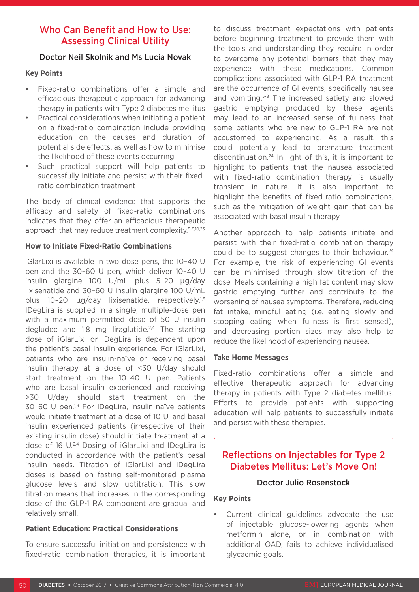# Who Can Benefit and How to Use: Assessing Clinical Utility

### Doctor Neil Skolnik and Ms Lucia Novak

### **Key Points**

- Fixed-ratio combinations offer a simple and efficacious therapeutic approach for advancing therapy in patients with Type 2 diabetes mellitus
- Practical considerations when initiating a patient on a fixed-ratio combination include providing education on the causes and duration of potential side effects, as well as how to minimise the likelihood of these events occurring
- Such practical support will help patients to successfully initiate and persist with their fixedratio combination treatment

The body of clinical evidence that supports the efficacy and safety of fixed-ratio combinations indicates that they offer an efficacious therapeutic approach that may reduce treatment complexity.<sup>5-8,10,23</sup>

### **How to Initiate Fixed-Ratio Combinations**

iGlarLixi is available in two dose pens, the 10–40 U pen and the 30–60 U pen, which deliver 10–40 U insulin glargine 100 U/mL plus 5–20 µg/day lixisenatide and 30–60 U insulin glargine 100 U/mL plus 10-20 µg/day lixisenatide, respectively.<sup>1,3</sup> IDegLira is supplied in a single, multiple-dose pen with a maximum permitted dose of 50 U insulin degludec and 1.8 mg liraglutide.<sup>2,4</sup> The starting dose of iGlarLixi or IDegLira is dependent upon the patient's basal insulin experience. For iGlarLixi, patients who are insulin-naïve or receiving basal insulin therapy at a dose of <30 U/day should start treatment on the 10–40 U pen. Patients who are basal insulin experienced and receiving >30 U/day should start treatment on the 30–60 U pen.1,3 For IDegLira, insulin-naïve patients would initiate treatment at a dose of 10 U, and basal insulin experienced patients (irrespective of their existing insulin dose) should initiate treatment at a dose of 16 U.2,4 Dosing of iGlarLixi and IDegLira is conducted in accordance with the patient's basal insulin needs. Titration of iGlarLixi and IDegLira doses is based on fasting self-monitored plasma glucose levels and slow uptitration. This slow titration means that increases in the corresponding dose of the GLP-1 RA component are gradual and relatively small.

### **Patient Education: Practical Considerations**

To ensure successful initiation and persistence with fixed-ratio combination therapies, it is important to discuss treatment expectations with patients before beginning treatment to provide them with the tools and understanding they require in order to overcome any potential barriers that they may experience with these medications. Common complications associated with GLP-1 RA treatment are the occurrence of GI events, specifically nausea and vomiting.<sup>5-8</sup> The increased satiety and slowed gastric emptying produced by these agents may lead to an increased sense of fullness that some patients who are new to GLP-1 RA are not accustomed to experiencing. As a result, this could potentially lead to premature treatment discontinuation.24 In light of this, it is important to highlight to patients that the nausea associated with fixed-ratio combination therapy is usually transient in nature. It is also important to highlight the benefits of fixed-ratio combinations, such as the mitigation of weight gain that can be associated with basal insulin therapy.

Another approach to help patients initiate and persist with their fixed-ratio combination therapy could be to suggest changes to their behaviour.<sup>24</sup> For example, the risk of experiencing GI events can be minimised through slow titration of the dose. Meals containing a high fat content may slow gastric emptying further and contribute to the worsening of nausea symptoms. Therefore, reducing fat intake, mindful eating (i.e. eating slowly and stopping eating when fullness is first sensed), and decreasing portion sizes may also help to reduce the likelihood of experiencing nausea.

#### **Take Home Messages**

Fixed-ratio combinations offer a simple and effective therapeutic approach for advancing therapy in patients with Type 2 diabetes mellitus. Efforts to provide patients with supporting education will help patients to successfully initiate and persist with these therapies.

# Reflections on Injectables for Type 2 Diabetes Mellitus: Let's Move On!

### Doctor Julio Rosenstock

#### **Key Points**

Current clinical quidelines advocate the use of injectable glucose-lowering agents when metformin alone, or in combination with additional OAD, fails to achieve individualised glycaemic goals.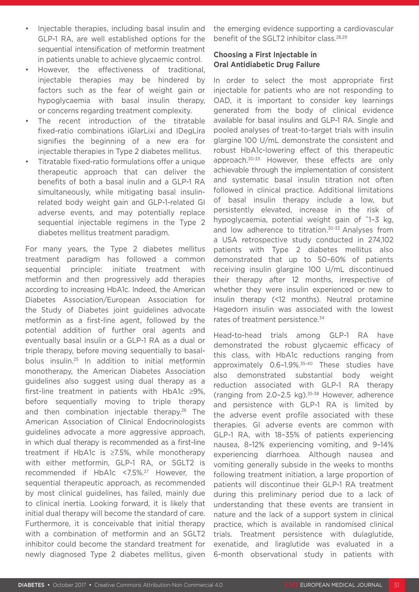- Injectable therapies, including basal insulin and GLP-1 RA, are well established options for the sequential intensification of metformin treatment in patients unable to achieve glycaemic control.
- However, the effectiveness of traditional, injectable therapies may be hindered by factors such as the fear of weight gain or hypoglycaemia with basal insulin therapy, or concerns regarding treatment complexity.
- The recent introduction of the titratable fixed-ratio combinations iGlarLixi and IDegLira signifies the beginning of a new era for injectable therapies in Type 2 diabetes mellitus.
- Titratable fixed-ratio formulations offer a unique therapeutic approach that can deliver the benefits of both a basal inulin and a GLP-1 RA simultaneously, while mitigating basal insulinrelated body weight gain and GLP-1-related GI adverse events, and may potentially replace sequential injectable regimens in the Type 2 diabetes mellitus treatment paradigm.

For many years, the Type 2 diabetes mellitus treatment paradigm has followed a common sequential principle: initiate treatment with metformin and then progressively add therapies according to increasing HbA1c. Indeed, the American Diabetes Association/European Association for the Study of Diabetes joint guidelines advocate metformin as a first-line agent, followed by the potential addition of further oral agents and eventually basal insulin or a GLP-1 RA as a dual or triple therapy, before moving sequentially to basalbolus insulin.25 In addition to initial metformin monotherapy, the American Diabetes Association guidelines also suggest using dual therapy as a first-line treatment in patients with HbA1c ≥9%, before sequentially moving to triple therapy and then combination injectable therapy.<sup>26</sup> The American Association of Clinical Endocrinologists guidelines advocate a more aggressive approach, in which dual therapy is recommended as a first-line treatment if HbA1c is ≥7.5%, while monotherapy with either metformin, GLP-1 RA, or SGLT2 is recommended if HbA1c <7.5%.27 However, the sequential therapeutic approach, as recommended by most clinical guidelines, has failed, mainly due to clinical inertia. Looking forward, it is likely that initial dual therapy will become the standard of care. Furthermore, it is conceivable that initial therapy with a combination of metformin and an SGLT2 inhibitor could become the standard treatment for newly diagnosed Type 2 diabetes mellitus, given

the emerging evidence supporting a cardiovascular benefit of the SGLT2 inhibitor class.28,29

### **Choosing a First Injectable in Oral Antidiabetic Drug Failure**

In order to select the most appropriate first injectable for patients who are not responding to OAD, it is important to consider key learnings generated from the body of clinical evidence available for basal insulins and GLP-1 RA. Single and pooled analyses of treat-to-target trials with insulin glargine 100 U/mL demonstrate the consistent and robust HbA1c-lowering effect of this therapeutic approach.30-33 However, these effects are only achievable through the implementation of consistent and systematic basal insulin titration not often followed in clinical practice. Additional limitations of basal insulin therapy include a low, but persistently elevated, increase in the risk of hypoglycaemia, potential weight gain of ~1–3 kg, and low adherence to titration.<sup>30-33</sup> Analyses from a USA retrospective study conducted in 274,102 patients with Type 2 diabetes mellitus also demonstrated that up to 50–60% of patients receiving insulin glargine 100 U/mL discontinued their therapy after 12 months, irrespective of whether they were insulin experienced or new to insulin therapy (<12 months). Neutral protamine Hagedorn insulin was associated with the lowest rates of treatment persistence.<sup>34</sup>

Head-to-head trials among GLP-1 RA have demonstrated the robust glycaemic efficacy of this class, with HbA1c reductions ranging from approximately 0.6–1.9%.35-40 These studies have also demonstrated substantial body weight reduction associated with GLP-1 RA therapy (ranging from 2.0-2.5 kg).<sup>35-38</sup> However, adherence and persistence with GLP-1 RA is limited by the adverse event profile associated with these therapies. GI adverse events are common with GLP-1 RA, with 18–35% of patients experiencing nausea, 8–12% experiencing vomiting, and 9–14% experiencing diarrhoea. Although nausea and vomiting generally subside in the weeks to months following treatment initiation, a large proportion of patients will discontinue their GLP-1 RA treatment during this preliminary period due to a lack of understanding that these events are transient in nature and the lack of a support system in clinical practice, which is available in randomised clinical trials. Treatment persistence with dulaglutide, exenatide, and liraglutide was evaluated in a 6-month observational study in patients with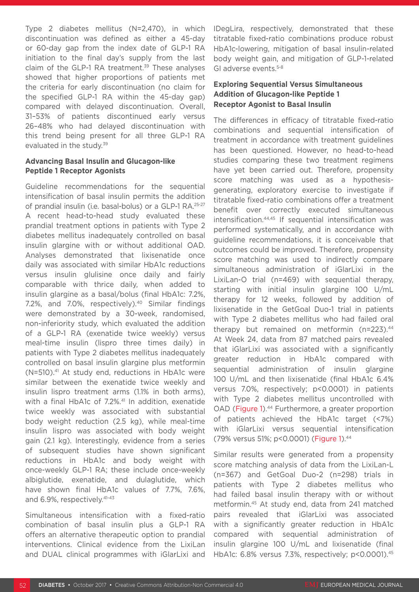Type 2 diabetes mellitus (N=2,470), in which discontinuation was defined as either a 45-day or 60-day gap from the index date of GLP-1 RA initiation to the final day's supply from the last claim of the GLP-1 RA treatment.<sup>39</sup> These analyses showed that higher proportions of patients met the criteria for early discontinuation (no claim for the specified GLP-1 RA within the 45-day gap) compared with delayed discontinuation. Overall, 31–53% of patients discontinued early versus 26–48% who had delayed discontinuation with this trend being present for all three GLP-1 RA evaluated in the study.<sup>39</sup>

#### **Advancing Basal Insulin and Glucagon-like Peptide 1 Receptor Agonists**

Guideline recommendations for the sequential intensification of basal insulin permits the addition of prandial insulin (i.e. basal-bolus) or a GLP-1 RA.25-27 A recent head-to-head study evaluated these prandial treatment options in patients with Type 2 diabetes mellitus inadequately controlled on basal insulin glargine with or without additional OAD. Analyses demonstrated that lixisenatide once daily was associated with similar HbA1c reductions versus insulin glulisine once daily and fairly comparable with thrice daily, when added to insulin glargine as a basal/bolus (final HbA1c: 7.2%, 7.2%, and 7.0%, respectively).<sup>40</sup> Similar findings were demonstrated by a 30-week, randomised, non-inferiority study, which evaluated the addition of a GLP-1 RA (exenatide twice weekly) versus meal-time insulin (lispro three times daily) in patients with Type 2 diabetes mellitus inadequately controlled on basal insulin glargine plus metformin (N=510).<sup>41</sup> At study end, reductions in HbA1c were similar between the exenatide twice weekly and insulin lispro treatment arms (1.1% in both arms), with a final HbA1c of 7.2%.<sup>41</sup> In addition, exenatide twice weekly was associated with substantial body weight reduction (2.5 kg), while meal-time insulin lispro was associated with body weight gain (2.1 kg). Interestingly, evidence from a series of subsequent studies have shown significant reductions in HbA1c and body weight with once-weekly GLP-1 RA; these include once-weekly albiglutide, exenatide, and dulaglutide, which have shown final HbA1c values of 7.7%, 7.6%, and 6.9%, respectively.41-43

Simultaneous intensification with a fixed-ratio combination of basal insulin plus a GLP-1 RA offers an alternative therapeutic option to prandial interventions. Clinical evidence from the LixiLan and DUAL clinical programmes with iGlarLixi and IDegLira, respectively, demonstrated that these titratable fixed-ratio combinations produce robust HbA1c-lowering, mitigation of basal insulin-related body weight gain, and mitigation of GLP-1-related GI adverse events.<sup>5-8</sup>

### **Exploring Sequential Versus Simultaneous Addition of Glucagon-like Peptide 1 Receptor Agonist to Basal Insulin**

The differences in efficacy of titratable fixed-ratio combinations and sequential intensification of treatment in accordance with treatment guidelines has been questioned. However, no head-to-head studies comparing these two treatment regimens have yet been carried out. Therefore, propensity score matching was used as a hypothesisgenerating, exploratory exercise to investigate if titratable fixed-ratio combinations offer a treatment benefit over correctly executed simultaneous intensification.44,45 If sequential intensification was performed systematically, and in accordance with guideline recommendations, it is conceivable that outcomes could be improved. Therefore, propensity score matching was used to indirectly compare simultaneous administration of iGlarLixi in the LixiLan-O trial (n=469) with sequential therapy, starting with initial insulin glargine 100 U/mL therapy for 12 weeks, followed by addition of lixisenatide in the GetGoal Duo-1 trial in patients with Type 2 diabetes mellitus who had failed oral therapy but remained on metformin (n=223).<sup>44</sup> At Week 24, data from 87 matched pairs revealed that iGlarLixi was associated with a significantly greater reduction in HbA1c compared with sequential administration of insulin glargine 100 U/mL and then lixisenatide (final HbA1c 6.4% versus 7.0%, respectively; p<0.0001) in patients with Type 2 diabetes mellitus uncontrolled with OAD (Figure 1).<sup>44</sup> Furthermore, a greater proportion of patients achieved the HbA1c target (<7%) with iGlarLixi versus sequential intensification (79% versus 51%; p<0.0001) (Figure 1).44

Similar results were generated from a propensity score matching analysis of data from the LixiLan-L (n=367) and GetGoal Duo-2 (n=298) trials in patients with Type 2 diabetes mellitus who had failed basal insulin therapy with or without metformin.45 At study end, data from 241 matched pairs revealed that iGlarLixi was associated with a significantly greater reduction in HbA1c compared with sequential administration of insulin glargine 100 U/mL and lixisenatide (final HbA1c: 6.8% versus 7.3%, respectively; p<0.0001).45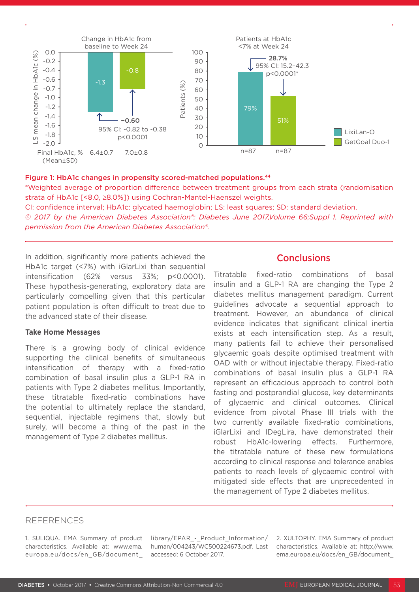

#### Figure 1: HbA1c changes in propensity scored-matched populations.<sup>44</sup>

\*Weighted average of proportion difference between treatment groups from each strata (randomisation strata of HbA1c [<8.0, ≥8.0%]) using Cochran-Mantel-Haenszel weights.

CI: confidence interval; HbA1c: glycated haemoglobin; LS: least squares; SD: standard deviation.

*© 2017 by the American Diabetes Association®; Diabetes June 2017,Volume 66;Suppl 1. Reprinted with permission from the American Diabetes Association®.*

In addition, significantly more patients achieved the HbA1c target (<7%) with iGlarLixi than sequential intensification (62% versus 33%; p<0.0001). These hypothesis-generating, exploratory data are particularly compelling given that this particular patient population is often difficult to treat due to the advanced state of their disease.

#### **Take Home Messages**

There is a growing body of clinical evidence supporting the clinical benefits of simultaneous intensification of therapy with a fixed-ratio combination of basal insulin plus a GLP-1 RA in patients with Type 2 diabetes mellitus. Importantly, these titratable fixed-ratio combinations have the potential to ultimately replace the standard, sequential, injectable regimens that, slowly but surely, will become a thing of the past in the management of Type 2 diabetes mellitus.

# **Conclusions**

Titratable fixed-ratio combinations of basal insulin and a GLP-1 RA are changing the Type 2 diabetes mellitus management paradigm. Current guidelines advocate a sequential approach to treatment. However, an abundance of clinical evidence indicates that significant clinical inertia exists at each intensification step. As a result, many patients fail to achieve their personalised glycaemic goals despite optimised treatment with OAD with or without injectable therapy. Fixed-ratio combinations of basal insulin plus a GLP-1 RA represent an efficacious approach to control both fasting and postprandial glucose, key determinants of glycaemic and clinical outcomes. Clinical evidence from pivotal Phase III trials with the two currently available fixed-ratio combinations, iGlarLixi and IDegLira, have demonstrated their robust HbA1c-lowering effects. Furthermore, the titratable nature of these new formulations according to clinical response and tolerance enables patients to reach levels of glycaemic control with mitigated side effects that are unprecedented in the management of Type 2 diabetes mellitus.

#### REFERENCES

1. SULIQUA. EMA Summary of product characteristics. Available at: www.ema. europa.eu/docs/en\_GB/document\_

library/EPAR\_-\_Product\_Information/ human/004243/WC500224673.pdf. Last accessed: 6 October 2017.

2. XULTOPHY. EMA Summary of product characteristics. Available at: http://www. ema.europa.eu/docs/en\_GB/document\_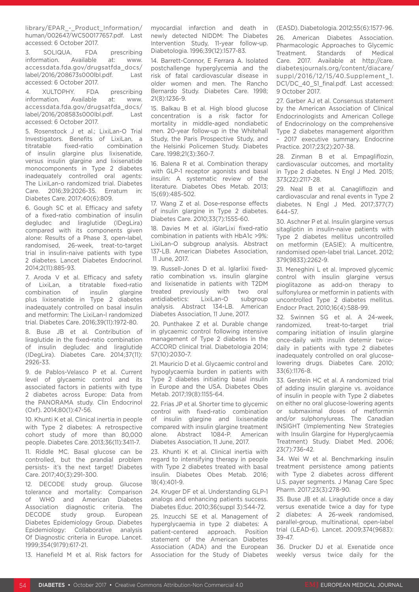library/EPAR\_-\_Product\_Information/ human/002647/WC500177657.pdf. Last accessed: 6 October 2017.

3. SOLIQUA. FDA prescribing information. Available at: www. accessdata.fda.gov/drugsatfda\_docs/ label/2016/208673s000lbl.pdf. Last accessed: 6 October 2017.

4. XULTOPHY. FDA prescribing information. Available at: www. accessdata.fda.gov/drugsatfda\_docs/ label/2016/208583s000lbl.pdf. Last accessed: 6 October 2017.

5. Rosenstock J et al.; LixiLan-O Trial Investigators. Benefits of LixiLan, a titratable fixed-ratio combination of insulin glargine plus lixisenatide, versus insulin glargine and lixisenatide monocomponents in Type 2 diabetes inadequately controlled oral agents: The LixiLan-o randomized trial. Diabetes Care. 2016;39:2026-35. Erratum in: Diabetes Care. 2017;40(6):809.

6. Gough SC et al. Efficacy and safety of a fixed-ratio combination of insulin degludec and liraglutide (IDegLira) compared with its components given alone: Results of a Phase 3, open-label, randomised, 26-week, treat-to-target trial in insulin-naive patients with type 2 diabetes. Lancet Diabetes Endocrinol. 2014;2(11):885-93.

7. Aroda V et al. Efficacy and safety of LixiLan, a titratable fixed-ratio combination of insulin glargine plus lixisenatide in Type 2 diabetes inadequately controlled on basal insulin and metformin: The LixiLan-l randomized trial. Diabetes Care. 2016;39(11):1972-80.

8. Buse JB et al. Contribution of liraglutide in the fixed-ratio combination of insulin degludec and liraglutide (IDegLira). Diabetes Care. 2014;37(11): 2926-33.

9. de Pablos-Velasco P et al. Current level of glycaemic control and its associated factors in patients with type 2 diabetes across Europe: Data from the PANORAMA study. Clin Endocrinol (Oxf). 2014;80(1):47-56.

10. Khunti K et al. Clinical inertia in people with Type 2 diabetes: A retrospective cohort study of more than 80,000 people. Diabetes Care. 2013;36(11):3411-7.

11. Riddle MC. Basal glucose can be controlled, but the prandial problem persists- it's the next target! Diabetes Care. 2017;40(3):291-300.

12. DECODE study group. Glucose tolerance and mortality: Comparison of WHO and American Diabetes Association diagnostic criteria. The DECODE study group. European Diabetes Epidemiology Group. Diabetes Epidemiology: Collaborative analysis Of Diagnostic criteria in Europe. Lancet. 1999;354(9179):617-21.

13. Hanefield M et al. Risk factors for

myocardial infarction and death in newly detected NIDDM: The Diabetes Intervention Study, 11-year follow-up. Diabetologia. 1996;39(12):1577-83.

14. Barrett-Connor, E Ferrara A. Isolated postchallenge hyperglycemia and the risk of fatal cardiovascular disease in older women and men. The Rancho Bernardo Study. Diabetes Care. 1998; 21(8):1236-9.

15. Balkau B et al. High blood glucose concentration is a risk factor for mortality in middle-aged nondiabetic men. 20-year follow-up in the Whitehall Study, the Paris Prospective Study, and the Helsinki Policemen Study. Diabetes Care. 1998;21(3):360-7.

16. Balena R et al. Combination therapy with GLP-1 receptor agonists and basal insulin: A systematic review of the literature. Diabetes Obes Metab. 2013; 15(69):485-502.

17. Wang Z et al. Dose-response effects of insulin glargine in Type 2 diabetes. Diabetes Care. 2010;33(7):1555-60.

18. Davies M et al. iGlarLixi fixed-ratio combination in patients with HbA1c >9%: LixiLan-O subgroup analysis. Abstract 137-LB. American Diabetes Association, 11 June, 2017.

19. Russell-Jones D et al. Iglarlixi fixedratio combination vs. insulin glargine and lixisenatide in patients with T2DM treated previously with two oral antidiabetics: LixiLan-O subgroup analysis. Abstract 134-LB. American Diabetes Association, 11 June, 2017.

20. Punthakee Z et al. Durable change in glycaemic control following intensive management of Type 2 diabetes in the ACCORD clinical trial. Diabetologia 2014; 57(10):2030-7.

21. Mauricio D et al. Glycaemic control and hypoglycaemia burden in patients with Type 2 diabetes initiating basal insulin in Europe and the USA. Diabetes Obes Metab. 2017;19(8):1155-64.

22. Frias JP et al. Shorter time to glycemic control with fixed-ratio combination of insulin glargine and lixisenatide compared with insulin glargine treatment alone. Abstract 1084-P. American Diabetes Association, 11 June, 2017.

23. Khunti K et al. Clinical inertia with regard to intensifying therapy in people with Type 2 diabetes treated with basal insulin. Diabetes Obes Metab. 2016; 18(4):401-9.

24. Kruger DF et al. Understanding GLP-1 analogs and enhancing patients success. Diabetes Educ. 2010;36(suppl 3):S44-72.

25. Inzucchi SE et al. Management of hyperglycaemia in type 2 diabetes: A patient-centered approach. Position statement of the American Diabetes Association (ADA) and the European Association for the Study of Diabetes

(EASD). Diabetologia. 2012;55(6):1577-96.

26. American Diabetes Association. Pharmacologic Approaches to Glycemic Treatment. Standards of Medical Care. 2017. Available at http://care. diabetesjournals.org/content/diacare/ suppl/2016/12/15/40.Supplement\_1. DC1/DC\_40\_S1\_final.pdf. Last accessed: 9 October 2017.

27. Garber AJ et al. Consensus statement by the American Association of Clinical Endocrinologists and American College of Endocrinology on the comprehensive Type 2 diabetes management algorithm – 2017 executive summary. Endocrine Practice. 2017;23(2):207-38.

28. Zinman B et al. Empagliflozin, cardiovascular outcomes, and mortality in Type 2 diabetes. N Engl J Med. 2015; 373(22):2117-28.

29. Neal B et al. Canagliflozin and cardiovascular and renal events in Type 2 diabetes. N Engl J Med. 2017;377(7) 644–57.

30. Aschner P et al. Insulin glargine versus sitagliptin in insulin-naive patients with Type 2 diabetes mellitus uncontrolled on metformin (EASIE): A multicentre, randomised open-label trial. Lancet. 2012; 379(9833):2262-9.

31. Meneghini L et al. Improved glycemic control with insulin glargine versus pioglitazone as add-on therapy to sulfonylurea or metformin in patients with uncontrolled Type 2 diabetes mellitus. Endocr Pract. 2010;16(4):588-99.

32. Swinnen SG et al. A 24-week, randomized, treat-to-target trial comparing initiation of insulin glargine once-daily with insulin detemir twicedaily in patients with type 2 diabetes inadequately controlled on oral glucoselowering drugs. Diabetes Care. 2010; 33(6):1176-8.

33. Gerstein HC et al. A randomized trial of adding insulin glargine vs. avoidance of insulin in people with Type 2 diabetes on either no oral glucose-lowering agents or submaximal doses of metformin and/or sulphonylureas. The Canadian INSIGHT (Implementing New Strategies with Insulin Glargine for Hyperglycaemia Treatment) Study. Diabet Med. 2006; 23(7):736-42.

34. Wei W et al. Benchmarking insulin treatment persistence among patients with Type 2 diabetes across different U.S. payer segments. J Manag Care Spec Pharm. 2017;23(3):278-90.

35. Buse JB et al. Liraglutide once a day versus exenatide twice a day for type 2 diabetes: A 26-week randomised, parallel-group, multinational, open-label trial (LEAD-6). Lancet. 2009;374(9683): 39-47.

36. Drucker DJ et al. Exenatide once weekly versus twice daily for the